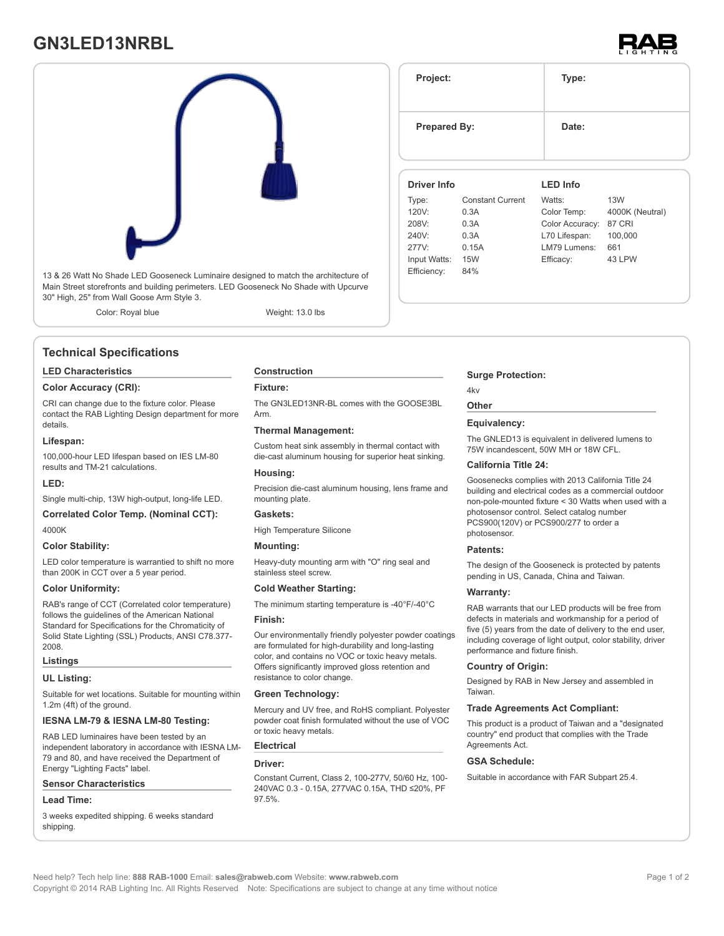# **GN3LED13NRBL**





13 & 26 Watt No Shade LED Gooseneck Luminaire designed to match the architecture of Main Street storefronts and building perimeters. LED Gooseneck No Shade with Upcurve 30" High, 25" from Wall Goose Arm Style 3.

Color: Royal blue Weight: 13.0 lbs

### **Technical Specifications**

#### **LED Characteristics**

#### **Color Accuracy (CRI):**

CRI can change due to the fixture color. Please contact the RAB Lighting Design department for more details.

#### **Lifespan:**

100,000-hour LED lifespan based on IES LM-80 results and TM-21 calculations.

#### **LED:**

Single multi-chip, 13W high-output, long-life LED.

#### **Correlated Color Temp. (Nominal CCT):** 4000K

#### **Color Stability:**

LED color temperature is warrantied to shift no more than 200K in CCT over a 5 year period.

#### **Color Uniformity:**

RAB's range of CCT (Correlated color temperature) follows the guidelines of the American National Standard for Specifications for the Chromaticity of Solid State Lighting (SSL) Products, ANSI C78.377- 2008.

#### **Listings**

#### **UL Listing:**

Suitable for wet locations. Suitable for mounting within 1.2m (4ft) of the ground.

### **IESNA LM-79 & IESNA LM-80 Testing:**

RAB LED luminaires have been tested by an independent laboratory in accordance with IESNA LM-79 and 80, and have received the Department of Energy "Lighting Facts" label.

#### **Sensor Characteristics**

#### **Lead Time:**

3 weeks expedited shipping. 6 weeks standard shipping.

## **Construction**

#### **Fixture:**

The GN3LED13NR-BL comes with the GOOSE3BL Arm.

#### **Thermal Management:**

Custom heat sink assembly in thermal contact with die-cast aluminum housing for superior heat sinking.

#### **Housing:**

Precision die-cast aluminum housing, lens frame and mounting plate.

### **Gaskets:**

High Temperature Silicone

#### **Mounting:**

Heavy-duty mounting arm with "O" ring seal and stainless steel screw.

#### **Cold Weather Starting:**

The minimum starting temperature is -40°F/-40°C **Finish:**

Our environmentally friendly polyester powder coatings are formulated for high-durability and long-lasting color, and contains no VOC or toxic heavy metals. Offers significantly improved gloss retention and resistance to color change.

#### **Green Technology:**

Mercury and UV free, and RoHS compliant. Polyester powder coat finish formulated without the use of VOC or toxic heavy metals.

### **Electrical**

#### **Driver:**

Constant Current, Class 2, 100-277V, 50/60 Hz, 100- 240VAC 0.3 - 0.15A, 277VAC 0.15A, THD ≤20%, PF 97.5%.

#### **Prepared By:** Date: **Driver Info** Type: Constant Current 120V: 0.3A 208V: 0.3A 240V: 0.3A 277V: 0.15A Input Watts: 15W **LED Info** Watts: 13W Color Temp: 4000K (Neutral) Color Accuracy: 87 CRI L70 Lifespan: 100,000 LM79 Lumens: 661 Efficacy: 43 LPW

**Project: Type:**

#### **Surge Protection:**

#### 4kv **Other**

Efficiency: 84%

#### **Equivalency:**

The GNLED13 is equivalent in delivered lumens to 75W incandescent, 50W MH or 18W CFL.

#### **California Title 24:**

Goosenecks complies with 2013 California Title 24 building and electrical codes as a commercial outdoor non-pole-mounted fixture < 30 Watts when used with a photosensor control. Select catalog number PCS900(120V) or PCS900/277 to order a photosensor.

#### **Patents:**

The design of the Gooseneck is protected by patents pending in US, Canada, China and Taiwan.

#### **Warranty:**

RAB warrants that our LED products will be free from defects in materials and workmanship for a period of five (5) years from the date of delivery to the end user, including coverage of light output, color stability, driver performance and fixture finish.

#### **Country of Origin:**

Designed by RAB in New Jersey and assembled in Taiwan.

#### **Trade Agreements Act Compliant:**

This product is a product of Taiwan and a "designated country" end product that complies with the Trade Agreements Act.

#### **GSA Schedule:**

Suitable in accordance with FAR Subpart 25.4.